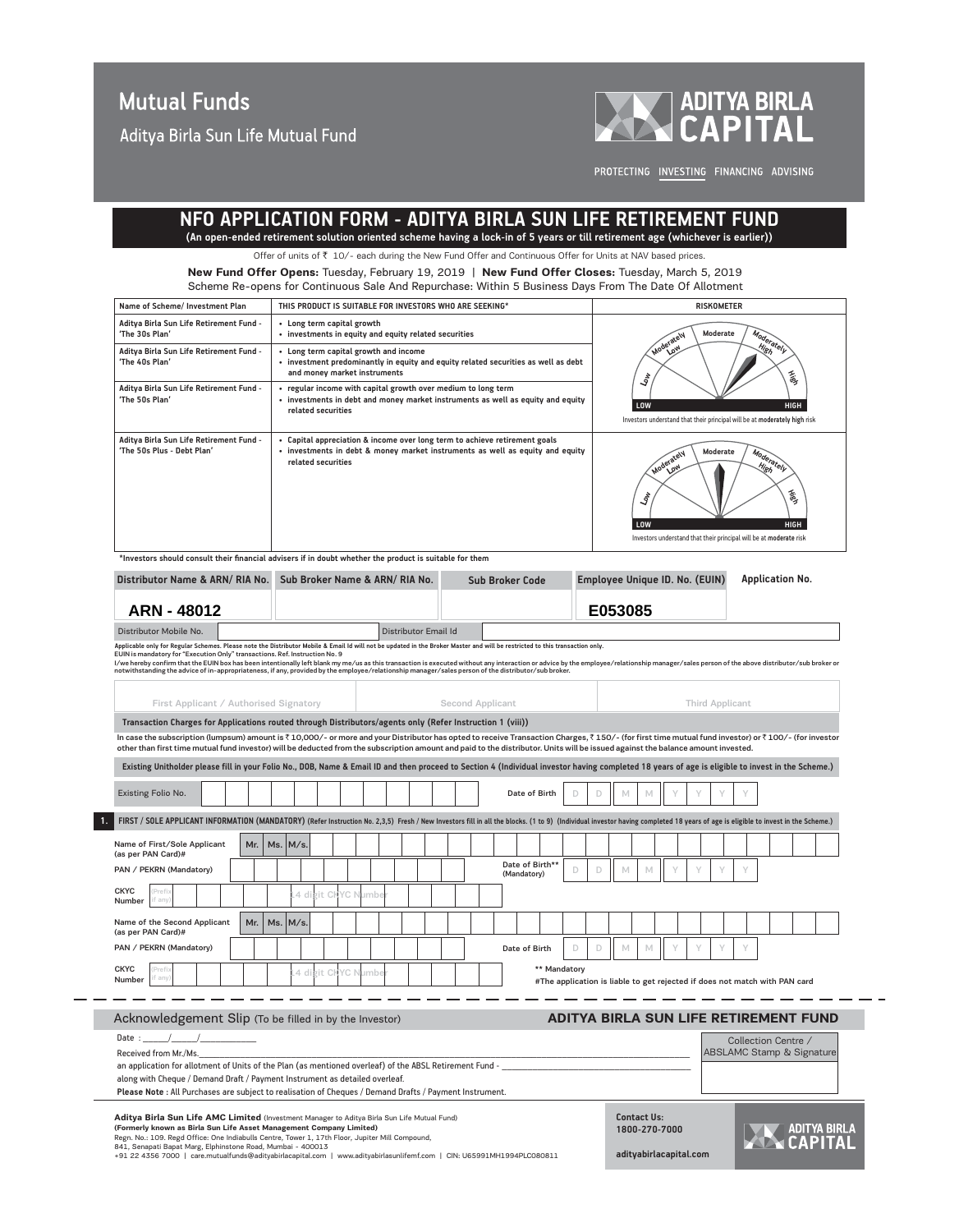Aditya Birla Sun Life Mutual Fund



PROTECTING INVESTING FINANCING ADVISING

|                                                                                                                                                                                                                                                                                                                                                                                                                                                                                                                                              | NFO APPLICATION FORM - ADITYA BIRLA SUN LIFE RETIREMENT FUND<br>(An open-ended retirement solution oriented scheme having a lock-in of 5 years or till retirement age (whichever is earlier))             |                                                                                                                        |      |                                                                                     |  |  |                      |                         |  |                        |                                                                                                                                                             |   |                                       |         |             |                                                                                                                |            |  |                        |  |      |            |                        |                                      |  |
|----------------------------------------------------------------------------------------------------------------------------------------------------------------------------------------------------------------------------------------------------------------------------------------------------------------------------------------------------------------------------------------------------------------------------------------------------------------------------------------------------------------------------------------------|-----------------------------------------------------------------------------------------------------------------------------------------------------------------------------------------------------------|------------------------------------------------------------------------------------------------------------------------|------|-------------------------------------------------------------------------------------|--|--|----------------------|-------------------------|--|------------------------|-------------------------------------------------------------------------------------------------------------------------------------------------------------|---|---------------------------------------|---------|-------------|----------------------------------------------------------------------------------------------------------------|------------|--|------------------------|--|------|------------|------------------------|--------------------------------------|--|
|                                                                                                                                                                                                                                                                                                                                                                                                                                                                                                                                              |                                                                                                                                                                                                           | Offer of units of $\bar{\tau}$ 10/- each during the New Fund Offer and Continuous Offer for Units at NAV based prices. |      |                                                                                     |  |  |                      |                         |  |                        |                                                                                                                                                             |   |                                       |         |             |                                                                                                                |            |  |                        |  |      |            |                        |                                      |  |
|                                                                                                                                                                                                                                                                                                                                                                                                                                                                                                                                              | New Fund Offer Opens: Tuesday, February 19, 2019   New Fund Offer Closes: Tuesday, March 5, 2019<br>Scheme Re-opens for Continuous Sale And Repurchase: Within 5 Business Days From The Date Of Allotment |                                                                                                                        |      |                                                                                     |  |  |                      |                         |  |                        |                                                                                                                                                             |   |                                       |         |             |                                                                                                                |            |  |                        |  |      |            |                        |                                      |  |
| Name of Scheme/ Investment Plan                                                                                                                                                                                                                                                                                                                                                                                                                                                                                                              |                                                                                                                                                                                                           |                                                                                                                        |      | THIS PRODUCT IS SUITABLE FOR INVESTORS WHO ARE SEEKING*                             |  |  |                      |                         |  |                        |                                                                                                                                                             |   |                                       |         |             |                                                                                                                |            |  | <b>RISKOMETER</b>      |  |      |            |                        |                                      |  |
| Aditya Birla Sun Life Retirement Fund -<br>'The 30s Plan'                                                                                                                                                                                                                                                                                                                                                                                                                                                                                    |                                                                                                                                                                                                           |                                                                                                                        |      | • Long term capital growth<br>• investments in equity and equity related securities |  |  |                      |                         |  |                        |                                                                                                                                                             |   |                                       |         |             |                                                                                                                |            |  | Moderate               |  |      | Moderately |                        |                                      |  |
| Aditya Birla Sun Life Retirement Fund -<br>'The 40s Plan'                                                                                                                                                                                                                                                                                                                                                                                                                                                                                    |                                                                                                                                                                                                           |                                                                                                                        |      | • Long term capital growth and income<br>and money market instruments               |  |  |                      |                         |  |                        | • investment predominantly in equity and equity related securities as well as debt                                                                          |   |                                       |         |             | $\mathcal{A}_{\mathbf{p}}$                                                                                     | Moderately |  |                        |  | High |            | 鼋                      |                                      |  |
| Aditya Birla Sun Life Retirement Fund -<br>'The 50s Plan'                                                                                                                                                                                                                                                                                                                                                                                                                                                                                    |                                                                                                                                                                                                           |                                                                                                                        |      | • regular income with capital growth over medium to long term<br>related securities |  |  |                      |                         |  |                        | • investments in debt and money market instruments as well as equity and equity                                                                             |   |                                       |         |             | LOW<br>Investors understand that their principal will be at moderately high risk                               |            |  |                        |  |      |            | <b>HIGH</b>            |                                      |  |
| Aditya Birla Sun Life Retirement Fund -<br>'The 50s Plus - Debt Plan'                                                                                                                                                                                                                                                                                                                                                                                                                                                                        |                                                                                                                                                                                                           |                                                                                                                        |      | related securities                                                                  |  |  |                      |                         |  |                        | • Capital appreciation & income over long term to achieve retirement goals<br>• investments in debt & money market instruments as well as equity and equity |   |                                       |         |             | $\mathcal{A}_{\mathbf{p}}$<br><b>LOW</b><br>Investors understand that their principal will be at moderate risk | Moderately |  | Moderate               |  | Migh | Moderately | 壽<br><b>HIGH</b>       |                                      |  |
| *Investors should consult their financial advisers if in doubt whether the product is suitable for them                                                                                                                                                                                                                                                                                                                                                                                                                                      |                                                                                                                                                                                                           |                                                                                                                        |      |                                                                                     |  |  |                      |                         |  |                        |                                                                                                                                                             |   |                                       |         |             |                                                                                                                |            |  |                        |  |      |            |                        |                                      |  |
| Distributor Name & ARN/RIA No.                                                                                                                                                                                                                                                                                                                                                                                                                                                                                                               |                                                                                                                                                                                                           |                                                                                                                        |      | Sub Broker Name & ARN/RIA No.                                                       |  |  |                      |                         |  | <b>Sub Broker Code</b> |                                                                                                                                                             |   | Employee Unique ID. No. (EUIN)        |         |             |                                                                                                                |            |  |                        |  |      |            | <b>Application No.</b> |                                      |  |
| <b>ARN - 48012</b>                                                                                                                                                                                                                                                                                                                                                                                                                                                                                                                           |                                                                                                                                                                                                           |                                                                                                                        |      |                                                                                     |  |  |                      |                         |  |                        |                                                                                                                                                             |   |                                       | E053085 |             |                                                                                                                |            |  |                        |  |      |            |                        |                                      |  |
| Distributor Mobile No.<br>Applicable only for Regular Schemes. Please note the Distributor Mobile & Email Id will not be updated in the Broker Master and will be restricted to this transaction only.                                                                                                                                                                                                                                                                                                                                       |                                                                                                                                                                                                           |                                                                                                                        |      |                                                                                     |  |  | Distributor Email Id |                         |  |                        |                                                                                                                                                             |   |                                       |         |             |                                                                                                                |            |  |                        |  |      |            |                        |                                      |  |
| First Applicant / Authorised Signatory<br>Transaction Charges for Applications routed through Distributors/agents only (Refer Instruction 1 (viii))<br>In case the subscription (lumpsum) amount is₹10,000/- or more and your Distributor has opted to receive Transaction Charges, ₹150/- (for first time mutual fund investor) or ₹100/- (for investor<br>other than first time mutual fund investor) will be deducted from the subscription amount and paid to the distributor. Units will be issued against the balance amount invested. |                                                                                                                                                                                                           |                                                                                                                        |      |                                                                                     |  |  |                      | <b>Second Applicant</b> |  |                        |                                                                                                                                                             |   |                                       |         |             |                                                                                                                |            |  | <b>Third Applicant</b> |  |      |            |                        |                                      |  |
| Existing Unitholder please fill in your Folio No., DOB, Name & Email ID and then proceed to Section 4 (Individual investor having completed 18 years of age is eligible to invest in the Scheme.)<br>Existing Folio No.                                                                                                                                                                                                                                                                                                                      |                                                                                                                                                                                                           |                                                                                                                        |      |                                                                                     |  |  |                      |                         |  |                        | Date of Birth                                                                                                                                               | D | D                                     |         | M           | M                                                                                                              |            |  |                        |  |      |            |                        |                                      |  |
|                                                                                                                                                                                                                                                                                                                                                                                                                                                                                                                                              |                                                                                                                                                                                                           |                                                                                                                        |      |                                                                                     |  |  |                      |                         |  |                        |                                                                                                                                                             |   |                                       |         |             |                                                                                                                |            |  |                        |  |      |            |                        |                                      |  |
| FIRST / SOLE APPLICANT INFORMATION (MANDATORY) (Refer Instruction No. 2,3,5) Fresh / New Investors fill in all the blocks. (1 to 9) (Individual investor having completed 18 years of age is eligible to invest in the Scheme.                                                                                                                                                                                                                                                                                                               |                                                                                                                                                                                                           |                                                                                                                        |      |                                                                                     |  |  |                      |                         |  |                        |                                                                                                                                                             |   |                                       |         |             |                                                                                                                |            |  |                        |  |      |            |                        |                                      |  |
| Name of First/Sole Applicant<br>(as per PAN Card)#                                                                                                                                                                                                                                                                                                                                                                                                                                                                                           | Mr.                                                                                                                                                                                                       | Ms.                                                                                                                    | M/s. |                                                                                     |  |  |                      |                         |  |                        |                                                                                                                                                             |   |                                       |         |             |                                                                                                                |            |  |                        |  |      |            |                        |                                      |  |
| PAN / PEKRN (Mandatory)                                                                                                                                                                                                                                                                                                                                                                                                                                                                                                                      |                                                                                                                                                                                                           |                                                                                                                        |      |                                                                                     |  |  |                      |                         |  | (Mandatory)            | Date of Birth**                                                                                                                                             | D | D                                     |         | M           | M                                                                                                              |            |  |                        |  |      |            |                        |                                      |  |
| <b>CKYC</b><br>Prefi<br>f an<br>Number                                                                                                                                                                                                                                                                                                                                                                                                                                                                                                       |                                                                                                                                                                                                           |                                                                                                                        |      | 4 digit CKYC Numbe                                                                  |  |  |                      |                         |  |                        |                                                                                                                                                             |   |                                       |         |             |                                                                                                                |            |  |                        |  |      |            |                        |                                      |  |
| Name of the Second Applicant<br>(as per PAN Card)#                                                                                                                                                                                                                                                                                                                                                                                                                                                                                           | Mr.                                                                                                                                                                                                       | $Ms.$ M/s.                                                                                                             |      |                                                                                     |  |  |                      |                         |  |                        |                                                                                                                                                             |   |                                       |         |             |                                                                                                                |            |  |                        |  |      |            |                        |                                      |  |
| PAN / PEKRN (Mandatory)                                                                                                                                                                                                                                                                                                                                                                                                                                                                                                                      |                                                                                                                                                                                                           |                                                                                                                        |      |                                                                                     |  |  |                      |                         |  | Date of Birth          |                                                                                                                                                             | D | D                                     |         | $\mathbb N$ | M                                                                                                              |            |  |                        |  |      |            |                        |                                      |  |
| <b>CKYC</b><br>(Prefix<br>if any)<br>Number                                                                                                                                                                                                                                                                                                                                                                                                                                                                                                  |                                                                                                                                                                                                           |                                                                                                                        |      | 4 digit CKYC Numbe                                                                  |  |  |                      |                         |  |                        | ** Mandatory<br>#The application is liable to get rejected if does not match with PAN card                                                                  |   |                                       |         |             |                                                                                                                |            |  |                        |  |      |            |                        |                                      |  |
| Acknowledgement Slip (To be filled in by the Investor)                                                                                                                                                                                                                                                                                                                                                                                                                                                                                       |                                                                                                                                                                                                           |                                                                                                                        |      |                                                                                     |  |  |                      |                         |  |                        |                                                                                                                                                             |   | ADITYA BIRLA SUN LIFE RETIREMENT FUND |         |             |                                                                                                                |            |  |                        |  |      |            |                        |                                      |  |
|                                                                                                                                                                                                                                                                                                                                                                                                                                                                                                                                              |                                                                                                                                                                                                           |                                                                                                                        |      |                                                                                     |  |  |                      |                         |  |                        |                                                                                                                                                             |   |                                       |         |             |                                                                                                                |            |  |                        |  |      |            | Collection Centre /    | <b>ABSLAMC Stamp &amp; Signature</b> |  |
|                                                                                                                                                                                                                                                                                                                                                                                                                                                                                                                                              |                                                                                                                                                                                                           |                                                                                                                        |      |                                                                                     |  |  |                      |                         |  |                        |                                                                                                                                                             |   |                                       |         |             |                                                                                                                |            |  |                        |  |      |            |                        |                                      |  |
| Received from Mr./Ms.<br>along with Cheque / Demand Draft / Payment Instrument as detailed overleaf.<br>Please Note : All Purchases are subject to realisation of Cheques / Demand Drafts / Payment Instrument.                                                                                                                                                                                                                                                                                                                              |                                                                                                                                                                                                           |                                                                                                                        |      |                                                                                     |  |  |                      |                         |  |                        |                                                                                                                                                             |   |                                       |         |             |                                                                                                                |            |  |                        |  |      |            |                        |                                      |  |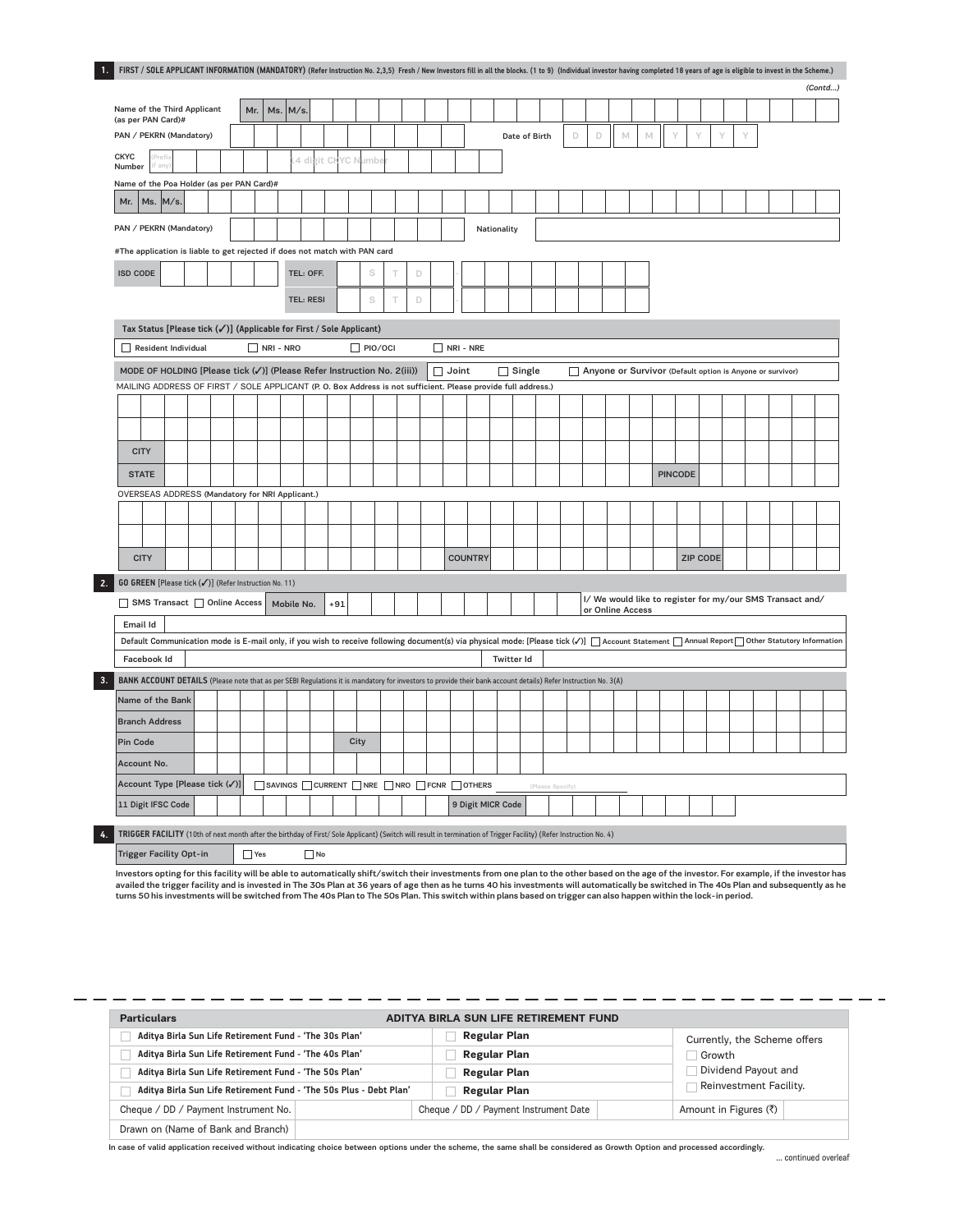|                                                                                                                                                                                                 |            |                                                 |                    |       |                |   |   |              |                   |                   |               |                  |             |             |                                                                              |             |                |                 |   |   |  | (Contd) |
|-------------------------------------------------------------------------------------------------------------------------------------------------------------------------------------------------|------------|-------------------------------------------------|--------------------|-------|----------------|---|---|--------------|-------------------|-------------------|---------------|------------------|-------------|-------------|------------------------------------------------------------------------------|-------------|----------------|-----------------|---|---|--|---------|
| Name of the Third Applicant<br>(as per PAN Card)#                                                                                                                                               | Mr.        | Ms. $M/s$ .                                     |                    |       |                |   |   |              |                   |                   |               |                  |             |             |                                                                              |             |                |                 |   |   |  |         |
| PAN / PEKRN (Mandatory)                                                                                                                                                                         |            |                                                 |                    |       |                |   |   |              |                   |                   | Date of Birth |                  | $\mathbb D$ | $\mathsf D$ | $\mathbb M$                                                                  | $\mathbb M$ | Y              | Y               | Y | Y |  |         |
| <b>CKYC</b><br>Prefix<br>any)<br>Number                                                                                                                                                         |            |                                                 | 4 digit CKYC Numbe |       |                |   |   |              |                   |                   |               |                  |             |             |                                                                              |             |                |                 |   |   |  |         |
| Name of the Poa Holder (as per PAN Card)#                                                                                                                                                       |            |                                                 |                    |       |                |   |   |              |                   |                   |               |                  |             |             |                                                                              |             |                |                 |   |   |  |         |
| Ms. $M/s$ .<br>Mr.                                                                                                                                                                              |            |                                                 |                    |       |                |   |   |              |                   |                   |               |                  |             |             |                                                                              |             |                |                 |   |   |  |         |
| PAN / PEKRN (Mandatory)                                                                                                                                                                         |            |                                                 |                    |       |                |   |   |              |                   | Nationality       |               |                  |             |             |                                                                              |             |                |                 |   |   |  |         |
| #The application is liable to get rejected if does not match with PAN card                                                                                                                      |            |                                                 |                    |       |                |   |   |              |                   |                   |               |                  |             |             |                                                                              |             |                |                 |   |   |  |         |
| <b>ISD CODE</b>                                                                                                                                                                                 |            |                                                 | TEL: OFF.          |       | S              | Т | D |              |                   |                   |               |                  |             |             |                                                                              |             |                |                 |   |   |  |         |
|                                                                                                                                                                                                 |            |                                                 | <b>TEL: RESI</b>   |       | S              | т | D |              |                   |                   |               |                  |             |             |                                                                              |             |                |                 |   |   |  |         |
| Tax Status [Please tick (√)] (Applicable for First / Sole Applicant)                                                                                                                            |            |                                                 |                    |       |                |   |   |              |                   |                   |               |                  |             |             |                                                                              |             |                |                 |   |   |  |         |
| Resident Individual                                                                                                                                                                             |            | $\Box$ NRI - NRO                                |                    |       | $\Box$ PIO/OCI |   |   |              | $\Box$ NRI - NRE  |                   |               |                  |             |             |                                                                              |             |                |                 |   |   |  |         |
| MODE OF HOLDING [Please tick (√)] (Please Refer Instruction No. 2(iii))                                                                                                                         |            |                                                 |                    |       |                |   |   | $\Box$ Joint |                   |                   | $\Box$ Single |                  |             |             | Anyone or Survivor (Default option is Anyone or survivor)                    |             |                |                 |   |   |  |         |
| MAILING ADDRESS OF FIRST / SOLE APPLICANT (P. O. Box Address is not sufficient. Please provide full address.)                                                                                   |            |                                                 |                    |       |                |   |   |              |                   |                   |               |                  |             |             |                                                                              |             |                |                 |   |   |  |         |
|                                                                                                                                                                                                 |            |                                                 |                    |       |                |   |   |              |                   |                   |               |                  |             |             |                                                                              |             |                |                 |   |   |  |         |
|                                                                                                                                                                                                 |            |                                                 |                    |       |                |   |   |              |                   |                   |               |                  |             |             |                                                                              |             |                |                 |   |   |  |         |
| <b>CITY</b>                                                                                                                                                                                     |            |                                                 |                    |       |                |   |   |              |                   |                   |               |                  |             |             |                                                                              |             |                |                 |   |   |  |         |
| <b>STATE</b>                                                                                                                                                                                    |            |                                                 |                    |       |                |   |   |              |                   |                   |               |                  |             |             |                                                                              |             | <b>PINCODE</b> |                 |   |   |  |         |
| OVERSEAS ADDRESS (Mandatory for NRI Applicant.)                                                                                                                                                 |            |                                                 |                    |       |                |   |   |              |                   |                   |               |                  |             |             |                                                                              |             |                |                 |   |   |  |         |
|                                                                                                                                                                                                 |            |                                                 |                    |       |                |   |   |              |                   |                   |               |                  |             |             |                                                                              |             |                |                 |   |   |  |         |
|                                                                                                                                                                                                 |            |                                                 |                    |       |                |   |   |              |                   |                   |               |                  |             |             |                                                                              |             |                |                 |   |   |  |         |
| <b>CITY</b>                                                                                                                                                                                     |            |                                                 |                    |       |                |   |   |              | <b>COUNTRY</b>    |                   |               |                  |             |             |                                                                              |             |                | <b>ZIP CODE</b> |   |   |  |         |
| GO GREEN [Please tick (√)] (Refer Instruction No. 11)                                                                                                                                           |            |                                                 |                    |       |                |   |   |              |                   |                   |               |                  |             |             |                                                                              |             |                |                 |   |   |  |         |
| SMS Transact   Online Access                                                                                                                                                                    |            | Mobile No.                                      |                    | $+91$ |                |   |   |              |                   |                   |               |                  |             |             | I/We would like to register for my/our SMS Transact and/<br>or Online Access |             |                |                 |   |   |  |         |
| Email Id                                                                                                                                                                                        |            |                                                 |                    |       |                |   |   |              |                   |                   |               |                  |             |             |                                                                              |             |                |                 |   |   |  |         |
| Default Communication mode is E-mail only, if you wish to receive following document(s) via physical mode: [Please tick (v')] [ Account Statement [ Annual Report [ Other Statutory Information |            |                                                 |                    |       |                |   |   |              |                   |                   |               |                  |             |             |                                                                              |             |                |                 |   |   |  |         |
| Facebook Id                                                                                                                                                                                     |            |                                                 |                    |       |                |   |   |              |                   | <b>Twitter Id</b> |               |                  |             |             |                                                                              |             |                |                 |   |   |  |         |
| BANK ACCOUNT DETAILS (Please note that as per SEBI Regulations it is mandatory for investors to provide their bank account details) Refer Instruction No. 3(A)                                  |            |                                                 |                    |       |                |   |   |              |                   |                   |               |                  |             |             |                                                                              |             |                |                 |   |   |  |         |
| Name of the Bank                                                                                                                                                                                |            |                                                 |                    |       |                |   |   |              |                   |                   |               |                  |             |             |                                                                              |             |                |                 |   |   |  |         |
| <b>Branch Address</b>                                                                                                                                                                           |            |                                                 |                    |       |                |   |   |              |                   |                   |               |                  |             |             |                                                                              |             |                |                 |   |   |  |         |
| Pin Code<br>Account No.                                                                                                                                                                         |            |                                                 |                    |       | City           |   |   |              |                   |                   |               |                  |             |             |                                                                              |             |                |                 |   |   |  |         |
| Account Type [Please tick (√)]                                                                                                                                                                  |            | □ SAVINGS □ CURRENT □ NRE □ NRO □ FCNR □ OTHERS |                    |       |                |   |   |              |                   |                   |               | (Please Specify) |             |             |                                                                              |             |                |                 |   |   |  |         |
| 11 Digit IFSC Code                                                                                                                                                                              |            |                                                 |                    |       |                |   |   |              | 9 Digit MICR Code |                   |               |                  |             |             |                                                                              |             |                |                 |   |   |  |         |
| TRIGGER FACILITY (10th of next month after the birthday of First/ Sole Applicant) (Switch will result in termination of Trigger Facility) (Refer Instruction No. 4)                             |            |                                                 |                    |       |                |   |   |              |                   |                   |               |                  |             |             |                                                                              |             |                |                 |   |   |  |         |
| <b>Trigger Facility Opt-in</b>                                                                                                                                                                  | $\Box$ Yes |                                                 | $\Box$ No          |       |                |   |   |              |                   |                   |               |                  |             |             |                                                                              |             |                |                 |   |   |  |         |
|                                                                                                                                                                                                 |            |                                                 |                    |       |                |   |   |              |                   |                   |               |                  |             |             |                                                                              |             |                |                 |   |   |  |         |

Investors opting for this facility will be able to automatically shift/switch their investments from one plan to the other based on the age of the investor. For example, if the investor has<br>availed the trigger facility and

| <b>Particulars</b>                                                 | ADITYA BIRLA SUN LIFE RETIREMENT FUND |                              |
|--------------------------------------------------------------------|---------------------------------------|------------------------------|
| Aditya Birla Sun Life Retirement Fund - 'The 30s Plan'             | <b>Regular Plan</b>                   | Currently, the Scheme offers |
| Aditya Birla Sun Life Retirement Fund - 'The 40s Plan'             | <b>Regular Plan</b>                   | Growth                       |
| Aditya Birla Sun Life Retirement Fund - 'The 50s Plan'             | <b>Regular Plan</b>                   | Dividend Payout and          |
| Aditya Birla Sun Life Retirement Fund - 'The 50s Plus - Debt Plan' | <b>Regular Plan</b>                   | Reinvestment Facility.       |
| Cheque / DD / Payment Instrument No.                               | Cheque / DD / Payment Instrument Date | Amount in Figures (₹)        |
| Drawn on (Name of Bank and Branch)                                 |                                       |                              |

In case of valid application received without indicating choice between options under the scheme, the same shall be considered as Growth Option and processed accordingly.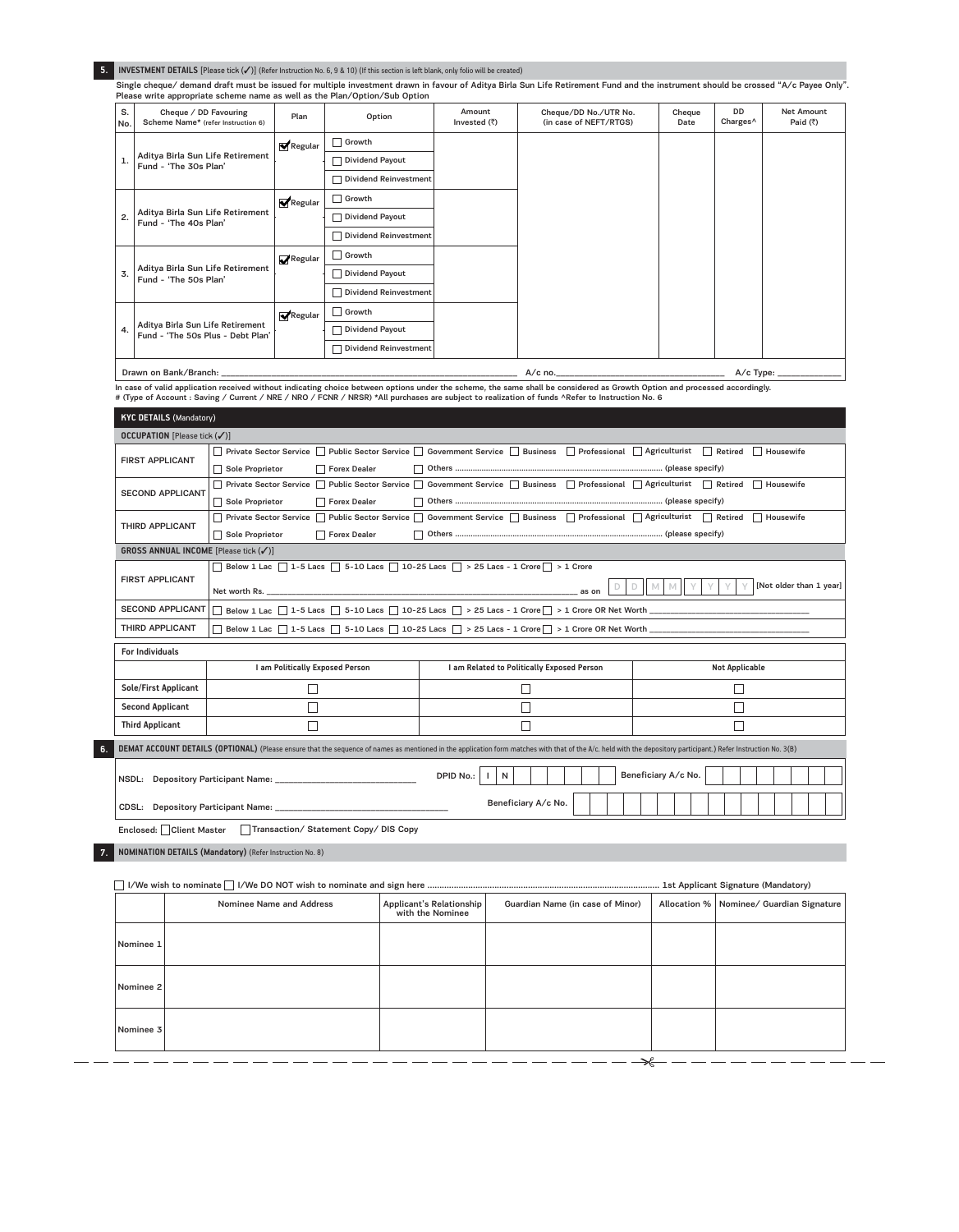|           | <b>INVESTMENT DETAILS</b> [Please tick $(\checkmark)$ ] (Refer Instruction No. 6, 9 & 10) (If this section is left blank, only folio will be created)<br>Single cheque/ demand draft must be issued for multiple investment drawn in favour of Aditya Birla Sun Life Retirement Fund and the instrument should be crossed "A/c Payee Only".<br>Please write appropriate scheme name as well as the Plan/Option/Sub Option |                                                                             |                                 |                         |                                    |         |                                            |                                                                                                                                       |                     |                                   |                                                |  |
|-----------|---------------------------------------------------------------------------------------------------------------------------------------------------------------------------------------------------------------------------------------------------------------------------------------------------------------------------------------------------------------------------------------------------------------------------|-----------------------------------------------------------------------------|---------------------------------|-------------------------|------------------------------------|---------|--------------------------------------------|---------------------------------------------------------------------------------------------------------------------------------------|---------------------|-----------------------------------|------------------------------------------------|--|
| s.<br>No. | Cheque / DD Favouring<br>Scheme Name* (refer Instruction 6)                                                                                                                                                                                                                                                                                                                                                               |                                                                             | Plan                            | Option                  | Amount<br>Invested $(\bar{\zeta})$ |         |                                            | Cheque/DD No./UTR No.<br>(in case of NEFT/RTGS)                                                                                       | Cheaue<br>Date      | <b>DD</b><br>Charges <sup>^</sup> | <b>Net Amount</b><br>Paid $(\overline{\zeta})$ |  |
|           |                                                                                                                                                                                                                                                                                                                                                                                                                           |                                                                             | <b>V</b> Regular                | Growth                  |                                    |         |                                            |                                                                                                                                       |                     |                                   |                                                |  |
| 1.        | Aditya Birla Sun Life Retirement                                                                                                                                                                                                                                                                                                                                                                                          |                                                                             |                                 | Dividend Payout         |                                    |         |                                            |                                                                                                                                       |                     |                                   |                                                |  |
|           | Fund - 'The 30s Plan'                                                                                                                                                                                                                                                                                                                                                                                                     |                                                                             |                                 | □ Dividend Reinvestment |                                    |         |                                            |                                                                                                                                       |                     |                                   |                                                |  |
|           |                                                                                                                                                                                                                                                                                                                                                                                                                           |                                                                             |                                 | Growth                  |                                    |         |                                            |                                                                                                                                       |                     |                                   |                                                |  |
| 2.        | Aditya Birla Sun Life Retirement                                                                                                                                                                                                                                                                                                                                                                                          |                                                                             | Regular                         | □ Dividend Payout       |                                    |         |                                            |                                                                                                                                       |                     |                                   |                                                |  |
|           | Fund - 'The 40s Plan'                                                                                                                                                                                                                                                                                                                                                                                                     |                                                                             |                                 | Dividend Reinvestment   |                                    |         |                                            |                                                                                                                                       |                     |                                   |                                                |  |
|           |                                                                                                                                                                                                                                                                                                                                                                                                                           |                                                                             |                                 |                         |                                    |         |                                            |                                                                                                                                       |                     |                                   |                                                |  |
|           | Aditya Birla Sun Life Retirement                                                                                                                                                                                                                                                                                                                                                                                          |                                                                             | Regular                         | Growth                  |                                    |         |                                            |                                                                                                                                       |                     |                                   |                                                |  |
| 3.        | Fund - 'The 50s Plan'                                                                                                                                                                                                                                                                                                                                                                                                     |                                                                             |                                 | Dividend Payout         |                                    |         |                                            |                                                                                                                                       |                     |                                   |                                                |  |
|           |                                                                                                                                                                                                                                                                                                                                                                                                                           |                                                                             |                                 | Dividend Reinvestment   |                                    |         |                                            |                                                                                                                                       |                     |                                   |                                                |  |
|           |                                                                                                                                                                                                                                                                                                                                                                                                                           |                                                                             | Regular                         | Growth                  |                                    |         |                                            |                                                                                                                                       |                     |                                   |                                                |  |
| 4.        | Aditya Birla Sun Life Retirement<br>Fund - 'The 50s Plus - Debt Plan'                                                                                                                                                                                                                                                                                                                                                     |                                                                             |                                 | Dividend Payout         |                                    |         |                                            |                                                                                                                                       |                     |                                   |                                                |  |
|           |                                                                                                                                                                                                                                                                                                                                                                                                                           |                                                                             |                                 | Dividend Reinvestment   |                                    |         |                                            |                                                                                                                                       |                     |                                   |                                                |  |
|           | Drawn on Bank/Branch:                                                                                                                                                                                                                                                                                                                                                                                                     |                                                                             |                                 |                         |                                    |         | $\overline{\phantom{a}}$ A/c no.           |                                                                                                                                       |                     | $\_\$ A/c Type: $\_\$             |                                                |  |
|           | <b>KYC DETAILS (Mandatory)</b><br><b>OCCUPATION</b> [Please tick $(\checkmark)$ ]                                                                                                                                                                                                                                                                                                                                         |                                                                             |                                 |                         |                                    |         |                                            |                                                                                                                                       |                     |                                   |                                                |  |
|           | <b>FIRST APPLICANT</b>                                                                                                                                                                                                                                                                                                                                                                                                    |                                                                             |                                 |                         |                                    |         |                                            | □ Private Sector Service □ Public Sector Service □ Government Service □ Business □ Professional □ Agriculturist □ Retired □ Housewife |                     |                                   |                                                |  |
|           |                                                                                                                                                                                                                                                                                                                                                                                                                           | Sole Proprietor                                                             |                                 | Forex Dealer            |                                    |         |                                            |                                                                                                                                       |                     |                                   |                                                |  |
|           | <b>SECOND APPLICANT</b>                                                                                                                                                                                                                                                                                                                                                                                                   |                                                                             |                                 |                         |                                    |         |                                            | Private Sector Service   Public Sector Service   Government Service   Business   Professional   Agriculturist   Retired   Housewife   |                     |                                   |                                                |  |
|           |                                                                                                                                                                                                                                                                                                                                                                                                                           | Sole Proprietor                                                             |                                 | Forex Dealer            |                                    |         |                                            | □ Private Sector Service □ Public Sector Service □ Government Service □ Business □ Professional □ Agriculturist □ Retired □ Housewife |                     |                                   |                                                |  |
|           | THIRD APPLICANT                                                                                                                                                                                                                                                                                                                                                                                                           | Sole Proprietor                                                             |                                 | Forex Dealer            |                                    |         |                                            |                                                                                                                                       |                     |                                   |                                                |  |
|           | GROSS ANNUAL INCOME [Please tick (√)]                                                                                                                                                                                                                                                                                                                                                                                     |                                                                             |                                 |                         |                                    |         |                                            |                                                                                                                                       |                     |                                   |                                                |  |
|           |                                                                                                                                                                                                                                                                                                                                                                                                                           | Below 1 Lac 1 -5 Lacs 5 -10 Lacs 10-25 Lacs 5 > 25 Lacs - 1 Crore > 1 Crore |                                 |                         |                                    |         |                                            |                                                                                                                                       |                     |                                   |                                                |  |
|           | <b>FIRST APPLICANT</b>                                                                                                                                                                                                                                                                                                                                                                                                    |                                                                             |                                 |                         |                                    |         |                                            | D<br>D<br>_ as on                                                                                                                     | M<br>M              |                                   | [Not older than 1 year]                        |  |
|           | <b>SECOND APPLICANT</b>                                                                                                                                                                                                                                                                                                                                                                                                   |                                                                             |                                 |                         |                                    |         |                                            | Below 1 Lac 1 -5 Lacs 5 -10 Lacs 10 - 25 Lacs 5 - 25 Lacs - 1 Crore 5 - 1 Crore OR Net Worth                                          |                     |                                   |                                                |  |
|           | THIRD APPLICANT                                                                                                                                                                                                                                                                                                                                                                                                           |                                                                             |                                 |                         |                                    |         |                                            | Below 1 Lac 1 -5 Lacs 5 -10 Lacs 10-25 Lacs 5 > 25 Lacs - 1 Crore 5 > 1 Crore OR Net Worth ____                                       |                     |                                   |                                                |  |
|           | <b>For Individuals</b>                                                                                                                                                                                                                                                                                                                                                                                                    |                                                                             |                                 |                         |                                    |         |                                            |                                                                                                                                       |                     |                                   |                                                |  |
|           |                                                                                                                                                                                                                                                                                                                                                                                                                           |                                                                             | I am Politically Exposed Person |                         |                                    |         | I am Related to Politically Exposed Person |                                                                                                                                       |                     | <b>Not Applicable</b>             |                                                |  |
|           | <b>Sole/First Applicant</b>                                                                                                                                                                                                                                                                                                                                                                                               |                                                                             | $\Box$                          |                         |                                    |         | ⊔                                          |                                                                                                                                       |                     | $\mathbf{I}$                      |                                                |  |
|           | <b>Second Applicant</b>                                                                                                                                                                                                                                                                                                                                                                                                   |                                                                             | $\Box$                          |                         |                                    |         | □                                          |                                                                                                                                       |                     | □                                 |                                                |  |
|           | <b>Third Applicant</b>                                                                                                                                                                                                                                                                                                                                                                                                    |                                                                             |                                 |                         |                                    |         |                                            |                                                                                                                                       |                     |                                   |                                                |  |
|           |                                                                                                                                                                                                                                                                                                                                                                                                                           |                                                                             |                                 |                         |                                    |         |                                            |                                                                                                                                       |                     |                                   |                                                |  |
|           | DEMAT ACCOUNT DETAILS (OPTIONAL) (Please ensure that the sequence of names as mentioned in the application form matches with that of the A/c. held with the depository participant.) Refer Instruction No. 3(B)                                                                                                                                                                                                           |                                                                             |                                 |                         | DPID No.:                          | N<br>Ι. |                                            |                                                                                                                                       | Beneficiary A/c No. |                                   |                                                |  |
|           | CDSL: Depository Participant Name: ___                                                                                                                                                                                                                                                                                                                                                                                    |                                                                             |                                 |                         |                                    |         | Beneficiary A/c No.                        |                                                                                                                                       |                     |                                   |                                                |  |
|           | Enclosed: Client Master   Transaction/ Statement Copy/ DIS Copy                                                                                                                                                                                                                                                                                                                                                           |                                                                             |                                 |                         |                                    |         |                                            |                                                                                                                                       |                     |                                   |                                                |  |
|           |                                                                                                                                                                                                                                                                                                                                                                                                                           |                                                                             |                                 |                         |                                    |         |                                            |                                                                                                                                       |                     |                                   |                                                |  |
|           | <b>NOMINATION DETAILS (Mandatory)</b> (Refer Instruction No. 8)                                                                                                                                                                                                                                                                                                                                                           |                                                                             |                                 |                         |                                    |         |                                            |                                                                                                                                       |                     |                                   |                                                |  |
|           |                                                                                                                                                                                                                                                                                                                                                                                                                           |                                                                             |                                 |                         | Applicant's Relationship           |         | Guardian Name (in case of Minor)           |                                                                                                                                       | <b>Allocation %</b> |                                   | Nominee/ Guardian Signature                    |  |
|           |                                                                                                                                                                                                                                                                                                                                                                                                                           |                                                                             | Nominee Name and Address        |                         | with the Nominee                   |         |                                            |                                                                                                                                       |                     |                                   |                                                |  |
|           | Nominee 1                                                                                                                                                                                                                                                                                                                                                                                                                 |                                                                             |                                 |                         |                                    |         |                                            |                                                                                                                                       |                     |                                   |                                                |  |
|           | Nominee 2                                                                                                                                                                                                                                                                                                                                                                                                                 |                                                                             |                                 |                         |                                    |         |                                            |                                                                                                                                       |                     |                                   |                                                |  |

 $-$ 

 $-$ 

 $-- \rightarrow --$ 

 $=$   $-$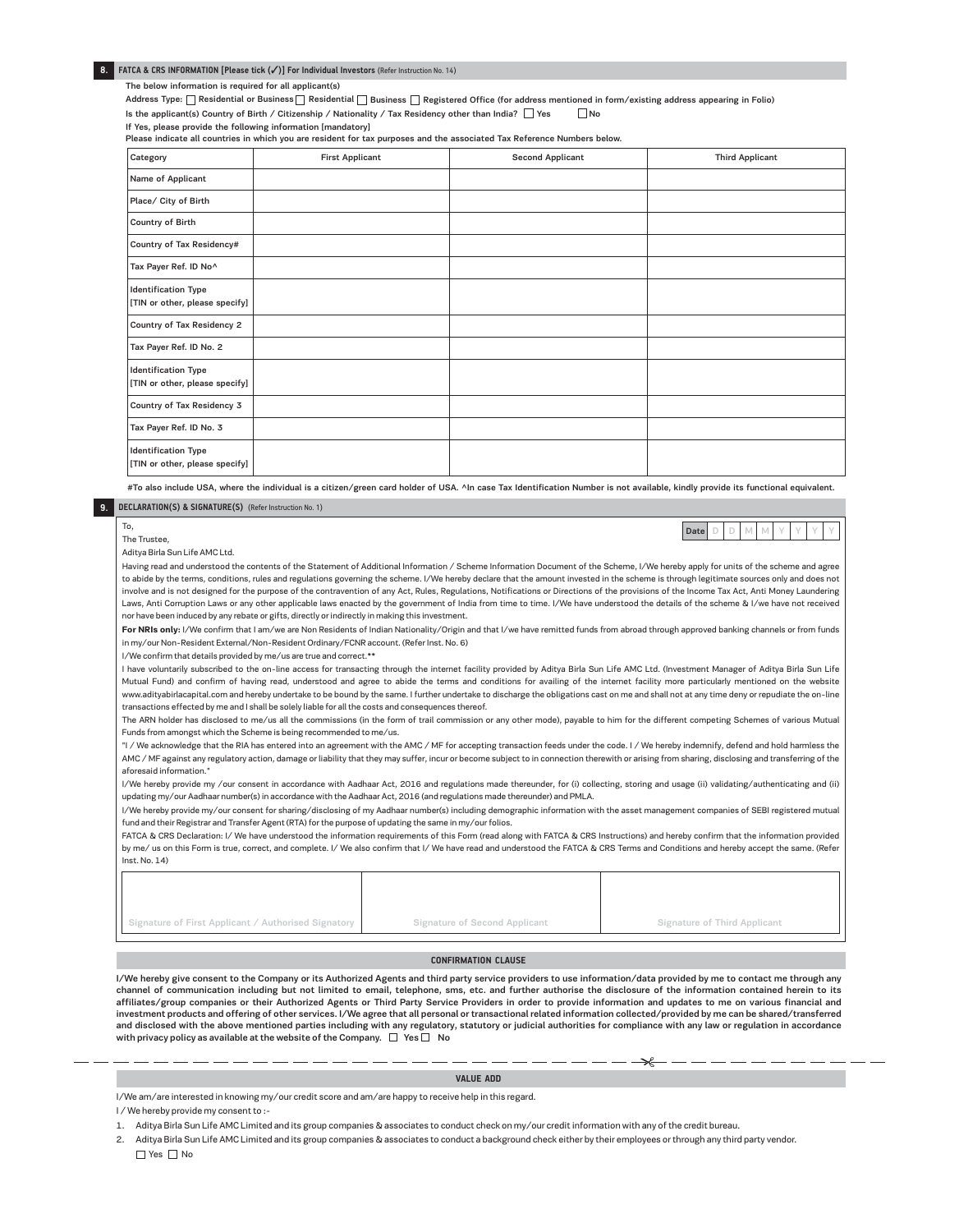### The below information is required for all applicant(s)

Address Type: | Residential or Business | Residential | Business | Registered Office (for address mentioned in form/existing address appearing in Folio)

Is the applicant(s) Country of Birth / Citizenship / Nationality / Tax Residency other than India?  $\Box$  Yes  $\n **No**\n$ 

If Yes, please provide the following information [mandatory]

Please indicate all countries in which you are resident for tax purposes and the associated Tax Reference Numbers below.

| Category                                                     | <b>First Applicant</b> | <b>Second Applicant</b> | <b>Third Applicant</b> |
|--------------------------------------------------------------|------------------------|-------------------------|------------------------|
| Name of Applicant                                            |                        |                         |                        |
| Place/ City of Birth                                         |                        |                         |                        |
| <b>Country of Birth</b>                                      |                        |                         |                        |
| Country of Tax Residency#                                    |                        |                         |                        |
| Tax Payer Ref. ID No^                                        |                        |                         |                        |
| <b>Identification Type</b><br>[TIN or other, please specify] |                        |                         |                        |
| Country of Tax Residency 2                                   |                        |                         |                        |
| Tax Payer Ref. ID No. 2                                      |                        |                         |                        |
| <b>Identification Type</b><br>[TIN or other, please specify] |                        |                         |                        |
| Country of Tax Residency 3                                   |                        |                         |                        |
| Tax Payer Ref. ID No. 3                                      |                        |                         |                        |
| <b>Identification Type</b><br>[TIN or other, please specify] |                        |                         |                        |

#To also include USA, where the individual is a citizen/green card holder of USA. ^In case Tax Identification Number is not available, kindly provide its functional equivalent.

Date

**9. DECLARATION(S) & SIGNATURE(S)** (Refer Instruction No. 1)

To,

The Trustee,

Aditya Birla Sun Life AMC Ltd.

Having read and understood the contents of the Statement of Additional Information / Scheme Information Document of the Scheme, I/We hereby apply for units of the scheme and agree to abide by the terms, conditions, rules and regulations governing the scheme. I/We hereby declare that the amount invested in the scheme is through legitimate sources only and does not involve and is not designed for the purpose of the contravention of any Act, Rules, Regulations, Notifications or Directions of the provisions of the Income Tax Act, Anti Money Laundering Laws, Anti Corruption Laws or any other applicable laws enacted by the government of India from time to time. I/We have understood the details of the scheme & I/we have not received nor have been induced by any rebate or gifts, directly or indirectly in making this investment.

For NRIs only: I/We confirm that I am/we are Non Residents of Indian Nationality/Origin and that I/we have remitted funds from abroad through approved banking channels or from funds in my/our Non-Resident External/Non-Resident Ordinary/FCNR account. (Refer Inst. No. 6)

I/We confirm that details provided by me/us are true and correct.\*\*

I have voluntarily subscribed to the on-line access for transacting through the internet facility provided by Aditya Birla Sun Life AMC Ltd. (Investment Manager of Aditya Birla Sun Life Mutual Fund) and confirm of having read, understood and agree to abide the terms and conditions for availing of the internet facility more particularly mentioned on the website www.adityabirlacapital.com and hereby undertake to be bound by the same. I further undertake to discharge the obligations cast on me and shall not at any time deny or repudiate the on-line transactions effected by me and I shall be solely liable for all the costs and consequences thereof.

The ARN holder has disclosed to me/us all the commissions (in the form of trail commission or any other mode), payable to him for the different competing Schemes of various Mutual Funds from amongst which the Scheme is being recommended to me/us.

"I / We acknowledge that the RIA has entered into an agreement with the AMC / MF for accepting transaction feeds under the code. I / We hereby indemnify, defend and hold harmless the AMC / MF against any regulatory action, damage or liability that they may suffer, incur or become subject to in connection therewith or arising from sharing, disclosing and transferring of the aforesaid information."

I/We hereby provide my /our consent in accordance with Aadhaar Act, 2016 and regulations made thereunder, for (i) collecting, storing and usage (ii) validating/authenticating and (ii) updating my/our Aadhaar number(s) in accordance with the Aadhaar Act, 2016 (and regulations made thereunder) and PMLA.

I/We hereby provide my/our consent for sharing/disclosing of my Aadhaar number(s) including demographic information with the asset management companies of SEBI registered mutual fund and their Registrar and Transfer Agent (RTA) for the purpose of updating the same in my/our folios.

FATCA & CRS Declaration: I/ We have understood the information requirements of this Form (read along with FATCA & CRS Instructions) and hereby confirm that the information provided by me/ us on this Form is true, correct, and complete. I/ We also confirm that I/ We have read and understood the FATCA & CRS Terms and Conditions and hereby accept the same. (Refer  $Inst$  No. 14)

Signature of First Applicant / Authorised Signatory Signature of Second Applicant Signature of Third Applicant

# **CONFIRMATION CLAUSE**

I/We hereby give consent to the Company or its Authorized Agents and third party service providers to use information/data provided by me to contact me through any channel of communication including but not limited to email, telephone, sms, etc. and further authorise the disclosure of the information contained herein to its affiliates/group companies or their Authorized Agents or Third Party Service Providers in order to provide information and updates to me on various financial and investment products and offering of other services. I/We agree that all personal or transactional related information collected/provided by me can be shared/transferred and disclosed with the above mentioned parties including with any regulatory, statutory or judicial authorities for compliance with any law or regulation in accordance with privacy policy as available at the website of the Company.  $\Box$  Yes  $\Box$  No

## **VALUE ADD**

I/We am/are interested in knowing my/our credit score and am/are happy to receive help in this regard.

\_ \_ \_ \_ \_ \_ \_ \_ \_

I / We hereby provide my consent to :-

2. Aditya Birla Sun Life AMC Limited and its group companies & associates to conduct a background check either by their employees or through any third party vendor.  $\Box$  Yes  $\Box$  No

<sup>1.</sup> Aditya Birla Sun Life AMC Limited and its group companies & associates to conduct check on my/our credit information with any of the credit bureau.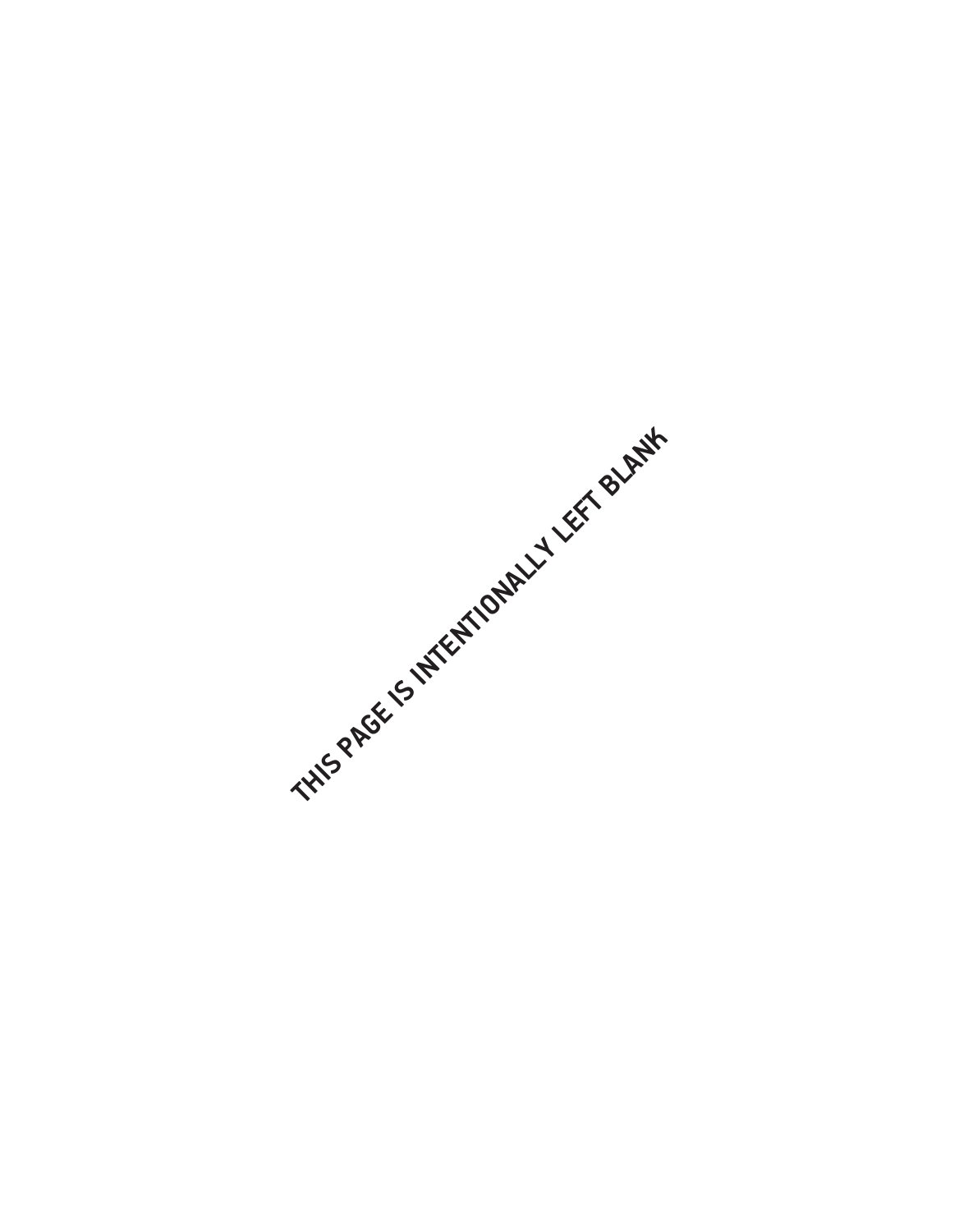**THIS PAGE IS INTENTIONALLY LEFT BLANK**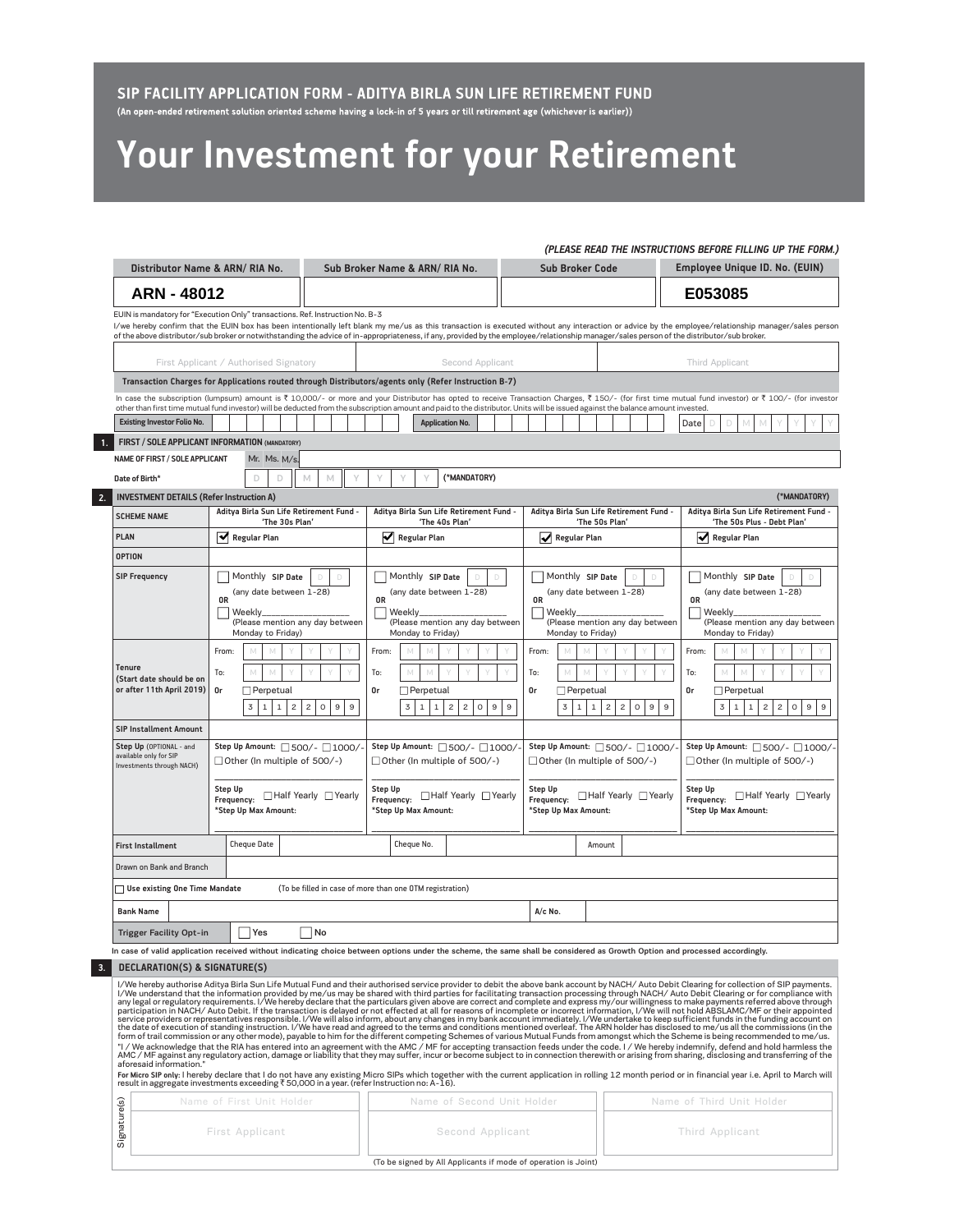# SIP FACILITY APPLICATION FORM - ADITYA BIRLA SUN LIFE RETIREMENT FUND

(An open-ended retirement solution oriented scheme having a lock-in of 5 years or till retirement age (whichever is earlier))

# **Your Investment for your Retirement**

| (PLEASE READ THE INSTRUCTIONS BEFORE FILLING UP THE FORM.) |  |  |
|------------------------------------------------------------|--|--|
|------------------------------------------------------------|--|--|

|                                                                                | Distributor Name & ARN/RIA No.                                                                                                                                                                                                                                                                                                                                                                                                                                                                                                                                                                                                                                                                                                                                                                                                                                                                                                                                                                                                                                                                                                                                                                                                                                                                                                                                                                                                                                                                                                                                                                                                                                                                                                                     |                             | Sub Broker Name & ARN/RIA No.                                             |                                                       |                    | <b>Sub Broker Code</b>              |                                                                   |                  |                       | Employee Unique ID. No. (EUIN)                                                                                           |                  |
|--------------------------------------------------------------------------------|----------------------------------------------------------------------------------------------------------------------------------------------------------------------------------------------------------------------------------------------------------------------------------------------------------------------------------------------------------------------------------------------------------------------------------------------------------------------------------------------------------------------------------------------------------------------------------------------------------------------------------------------------------------------------------------------------------------------------------------------------------------------------------------------------------------------------------------------------------------------------------------------------------------------------------------------------------------------------------------------------------------------------------------------------------------------------------------------------------------------------------------------------------------------------------------------------------------------------------------------------------------------------------------------------------------------------------------------------------------------------------------------------------------------------------------------------------------------------------------------------------------------------------------------------------------------------------------------------------------------------------------------------------------------------------------------------------------------------------------------------|-----------------------------|---------------------------------------------------------------------------|-------------------------------------------------------|--------------------|-------------------------------------|-------------------------------------------------------------------|------------------|-----------------------|--------------------------------------------------------------------------------------------------------------------------|------------------|
| ARN - 48012                                                                    |                                                                                                                                                                                                                                                                                                                                                                                                                                                                                                                                                                                                                                                                                                                                                                                                                                                                                                                                                                                                                                                                                                                                                                                                                                                                                                                                                                                                                                                                                                                                                                                                                                                                                                                                                    |                             |                                                                           |                                                       |                    |                                     |                                                                   |                  |                       | E053085                                                                                                                  |                  |
|                                                                                | EUIN is mandatory for "Execution Only" transactions. Ref. Instruction No. B-3<br>I/we hereby confirm that the EUIN box has been intentionally left blank my me/us as this transaction is executed without any interaction or advice by the employee/relationship manager/sales person<br>of the above distributor/sub broker or notwithstanding the advice of in-appropriateness, if any, provided by the employee/relationship manager/sales person of the distributor/sub broker.                                                                                                                                                                                                                                                                                                                                                                                                                                                                                                                                                                                                                                                                                                                                                                                                                                                                                                                                                                                                                                                                                                                                                                                                                                                                |                             |                                                                           |                                                       |                    |                                     |                                                                   |                  |                       |                                                                                                                          |                  |
|                                                                                | First Applicant / Authorised Signatory                                                                                                                                                                                                                                                                                                                                                                                                                                                                                                                                                                                                                                                                                                                                                                                                                                                                                                                                                                                                                                                                                                                                                                                                                                                                                                                                                                                                                                                                                                                                                                                                                                                                                                             |                             |                                                                           | Second Applicant                                      |                    |                                     |                                                                   |                  |                       | Third Applicant                                                                                                          |                  |
|                                                                                | Transaction Charges for Applications routed through Distributors/agents only (Refer Instruction B-7)                                                                                                                                                                                                                                                                                                                                                                                                                                                                                                                                                                                                                                                                                                                                                                                                                                                                                                                                                                                                                                                                                                                                                                                                                                                                                                                                                                                                                                                                                                                                                                                                                                               |                             |                                                                           |                                                       |                    |                                     |                                                                   |                  |                       |                                                                                                                          |                  |
| <b>Existing Investor Folio No.</b>                                             | In case the subscription (lumpsum) amount is ₹10,000/- or more and your Distributor has opted to receive Transaction Charges, ₹150/- (for first time mutual fund investor) or ₹100/- (for investor<br>other than first time mutual fund investor) will be deducted from the subscription amount and paid to the distributor. Units will be issued against the balance amount invested.                                                                                                                                                                                                                                                                                                                                                                                                                                                                                                                                                                                                                                                                                                                                                                                                                                                                                                                                                                                                                                                                                                                                                                                                                                                                                                                                                             |                             | <b>Application No.</b>                                                    |                                                       |                    |                                     |                                                                   |                  | Date                  | D                                                                                                                        |                  |
|                                                                                | FIRST / SOLE APPLICANT INFORMATION (MANDATORY)                                                                                                                                                                                                                                                                                                                                                                                                                                                                                                                                                                                                                                                                                                                                                                                                                                                                                                                                                                                                                                                                                                                                                                                                                                                                                                                                                                                                                                                                                                                                                                                                                                                                                                     |                             |                                                                           |                                                       |                    |                                     |                                                                   |                  |                       |                                                                                                                          |                  |
| NAME OF FIRST / SOLE APPLICANT                                                 | Mr. Ms. M/s.                                                                                                                                                                                                                                                                                                                                                                                                                                                                                                                                                                                                                                                                                                                                                                                                                                                                                                                                                                                                                                                                                                                                                                                                                                                                                                                                                                                                                                                                                                                                                                                                                                                                                                                                       |                             |                                                                           |                                                       |                    |                                     |                                                                   |                  |                       |                                                                                                                          |                  |
| Date of Birth*                                                                 | D<br>D<br>M                                                                                                                                                                                                                                                                                                                                                                                                                                                                                                                                                                                                                                                                                                                                                                                                                                                                                                                                                                                                                                                                                                                                                                                                                                                                                                                                                                                                                                                                                                                                                                                                                                                                                                                                        | M                           |                                                                           | (*MANDATORY)                                          |                    |                                     |                                                                   |                  |                       |                                                                                                                          |                  |
| <b>INVESTMENT DETAILS (Refer Instruction A)</b><br>2.                          |                                                                                                                                                                                                                                                                                                                                                                                                                                                                                                                                                                                                                                                                                                                                                                                                                                                                                                                                                                                                                                                                                                                                                                                                                                                                                                                                                                                                                                                                                                                                                                                                                                                                                                                                                    |                             |                                                                           |                                                       |                    |                                     |                                                                   |                  |                       |                                                                                                                          | (*MANDATORY)     |
| <b>SCHEME NAME</b>                                                             | Aditya Birla Sun Life Retirement Fund -<br>'The 30s Plan'                                                                                                                                                                                                                                                                                                                                                                                                                                                                                                                                                                                                                                                                                                                                                                                                                                                                                                                                                                                                                                                                                                                                                                                                                                                                                                                                                                                                                                                                                                                                                                                                                                                                                          |                             | 'The 40s Plan'                                                            | Aditya Birla Sun Life Retirement Fund -               |                    |                                     | Aditya Birla Sun Life Retirement Fund -<br>'The 50s Plan'         |                  |                       | Aditya Birla Sun Life Retirement Fund -<br>'The 50s Plus - Debt Plan'                                                    |                  |
| <b>PLAN</b>                                                                    | Regular Plan                                                                                                                                                                                                                                                                                                                                                                                                                                                                                                                                                                                                                                                                                                                                                                                                                                                                                                                                                                                                                                                                                                                                                                                                                                                                                                                                                                                                                                                                                                                                                                                                                                                                                                                                       |                             | Regular Plan                                                              |                                                       |                    | Regular Plan                        |                                                                   |                  |                       | Regular Plan                                                                                                             |                  |
| <b>OPTION</b>                                                                  |                                                                                                                                                                                                                                                                                                                                                                                                                                                                                                                                                                                                                                                                                                                                                                                                                                                                                                                                                                                                                                                                                                                                                                                                                                                                                                                                                                                                                                                                                                                                                                                                                                                                                                                                                    |                             |                                                                           |                                                       |                    |                                     |                                                                   |                  |                       |                                                                                                                          |                  |
| <b>SIP Frequency</b>                                                           | Monthly SIP Date<br>(any date between 1-28)<br><b>OR</b><br>Weekly_<br>(Please mention any day between                                                                                                                                                                                                                                                                                                                                                                                                                                                                                                                                                                                                                                                                                                                                                                                                                                                                                                                                                                                                                                                                                                                                                                                                                                                                                                                                                                                                                                                                                                                                                                                                                                             | D                           | Monthly SIP Date<br>(any date between 1-28)<br>0 <sub>R</sub><br>Weekly_  | D<br>(Please mention any day between                  | 0R                 | Monthly SIP Date<br>Weekly_         | (any date between 1-28)<br>(Please mention any day between        |                  | 0R                    | Monthly SIP Date<br>D<br>(any date between 1-28)<br>  Weekly_<br>(Please mention any day between                         | D                |
|                                                                                | Monday to Friday)                                                                                                                                                                                                                                                                                                                                                                                                                                                                                                                                                                                                                                                                                                                                                                                                                                                                                                                                                                                                                                                                                                                                                                                                                                                                                                                                                                                                                                                                                                                                                                                                                                                                                                                                  |                             | Monday to Friday)                                                         |                                                       |                    | Monday to Friday)                   |                                                                   |                  |                       | Monday to Friday)                                                                                                        |                  |
| <b>Tenure</b><br>(Start date should be on<br>or after 11th April 2019)         | From:<br>M<br>To:<br>M<br>M<br>0r<br>$\Box$ Perpetual<br>3<br>$\mathbf{1}$<br>$\overline{2}$<br>$\overline{c}$<br><sup>1</sup>                                                                                                                                                                                                                                                                                                                                                                                                                                                                                                                                                                                                                                                                                                                                                                                                                                                                                                                                                                                                                                                                                                                                                                                                                                                                                                                                                                                                                                                                                                                                                                                                                     | $\circ$<br>9<br>$\mathsf 9$ | From:<br>To:<br>M<br>0r<br>$\Box$ Perpetual<br>3<br>$1\,$<br>$\mathbf{1}$ | $\overline{c}$<br>9<br>$\overline{c}$<br>$\circ$<br>9 | From:<br>To:<br>0r | M<br>Perpetual<br>3<br>$\mathbf{1}$ | $\overline{c}$<br>$\overline{c}$<br>$\circ$<br>$1\,$              | $\mathsf g$<br>9 | From:<br>To:<br>0r    | M<br>M<br>M<br>M<br>$\Box$ Perpetual<br>$\overline{c}$<br>$\circ$<br>3<br>$\overline{c}$<br>$\mathbf{1}$<br>$\mathbf{1}$ | 9<br>$\mathsf g$ |
| <b>SIP Installment Amount</b>                                                  |                                                                                                                                                                                                                                                                                                                                                                                                                                                                                                                                                                                                                                                                                                                                                                                                                                                                                                                                                                                                                                                                                                                                                                                                                                                                                                                                                                                                                                                                                                                                                                                                                                                                                                                                                    |                             |                                                                           |                                                       |                    |                                     |                                                                   |                  |                       |                                                                                                                          |                  |
| Step Up (OPTIONAL - and<br>available only for SIP<br>Investments through NACH) | Step Up Amount: □ 500/- □ 1000/<br>$\Box$ Other (In multiple of 500/-)                                                                                                                                                                                                                                                                                                                                                                                                                                                                                                                                                                                                                                                                                                                                                                                                                                                                                                                                                                                                                                                                                                                                                                                                                                                                                                                                                                                                                                                                                                                                                                                                                                                                             |                             | $\Box$ Other (In multiple of 500/-)                                       | Step Up Amount: □ 500/- □ 1000/-                      |                    |                                     | Step Up Amount: □ 500/- □ 1000/<br>□ Other (In multiple of 500/-) |                  |                       | Step Up Amount: □ 500/- □ 1000/-<br>□ Other (In multiple of 500/-)                                                       |                  |
|                                                                                | Step Up<br>Frequency:<br>*Step Up Max Amount:                                                                                                                                                                                                                                                                                                                                                                                                                                                                                                                                                                                                                                                                                                                                                                                                                                                                                                                                                                                                                                                                                                                                                                                                                                                                                                                                                                                                                                                                                                                                                                                                                                                                                                      | Half Yearly Yearly          | Step Up<br>Frequency: Half Yearly Yearly<br>*Step Up Max Amount:          |                                                       | Step Up            | *Step Up Max Amount:                | Frequency: Half Yearly Yearly                                     |                  | Step Up<br>Frequency: | Half Yearly Yearly<br>*Step Up Max Amount:                                                                               |                  |
| <b>First Installment</b>                                                       | <b>Cheque Date</b>                                                                                                                                                                                                                                                                                                                                                                                                                                                                                                                                                                                                                                                                                                                                                                                                                                                                                                                                                                                                                                                                                                                                                                                                                                                                                                                                                                                                                                                                                                                                                                                                                                                                                                                                 |                             | Cheque No.                                                                |                                                       |                    |                                     | Amount                                                            |                  |                       |                                                                                                                          |                  |
| Drawn on Bank and Branch                                                       |                                                                                                                                                                                                                                                                                                                                                                                                                                                                                                                                                                                                                                                                                                                                                                                                                                                                                                                                                                                                                                                                                                                                                                                                                                                                                                                                                                                                                                                                                                                                                                                                                                                                                                                                                    |                             |                                                                           |                                                       |                    |                                     |                                                                   |                  |                       |                                                                                                                          |                  |
| Use existing One Time Mandate                                                  |                                                                                                                                                                                                                                                                                                                                                                                                                                                                                                                                                                                                                                                                                                                                                                                                                                                                                                                                                                                                                                                                                                                                                                                                                                                                                                                                                                                                                                                                                                                                                                                                                                                                                                                                                    |                             | (To be filled in case of more than one OTM registration)                  |                                                       |                    |                                     |                                                                   |                  |                       |                                                                                                                          |                  |
| <b>Bank Name</b>                                                               |                                                                                                                                                                                                                                                                                                                                                                                                                                                                                                                                                                                                                                                                                                                                                                                                                                                                                                                                                                                                                                                                                                                                                                                                                                                                                                                                                                                                                                                                                                                                                                                                                                                                                                                                                    |                             |                                                                           |                                                       | A/c No.            |                                     |                                                                   |                  |                       |                                                                                                                          |                  |
| <b>Trigger Facility Opt-in</b>                                                 | Yes                                                                                                                                                                                                                                                                                                                                                                                                                                                                                                                                                                                                                                                                                                                                                                                                                                                                                                                                                                                                                                                                                                                                                                                                                                                                                                                                                                                                                                                                                                                                                                                                                                                                                                                                                | No                          |                                                                           |                                                       |                    |                                     |                                                                   |                  |                       |                                                                                                                          |                  |
|                                                                                | In case of valid application received without indicating choice between options under the scheme, the same shall be considered as Growth Option and processed accordingly.                                                                                                                                                                                                                                                                                                                                                                                                                                                                                                                                                                                                                                                                                                                                                                                                                                                                                                                                                                                                                                                                                                                                                                                                                                                                                                                                                                                                                                                                                                                                                                         |                             |                                                                           |                                                       |                    |                                     |                                                                   |                  |                       |                                                                                                                          |                  |
| 3.<br>DECLARATION(S) & SIGNATURE(S)                                            | I/We hereby authorise Aditya Birla Sun Life Mutual Fund and their authorised service provider to debit the above bank account by NACH/ Auto Debit Clearing for collection of SIP payments.                                                                                                                                                                                                                                                                                                                                                                                                                                                                                                                                                                                                                                                                                                                                                                                                                                                                                                                                                                                                                                                                                                                                                                                                                                                                                                                                                                                                                                                                                                                                                         |                             |                                                                           |                                                       |                    |                                     |                                                                   |                  |                       |                                                                                                                          |                  |
|                                                                                | l/We understand that the information provided by me/us may be shared with third parties for facilitating transaction processing through NACH/ Auto Debit Clearing or for compliance with<br>any legal or regulatory requirements.<br>participation in NACH/Auto Debit. If the transaction is delayed or not effected at all for reasons of incomplete or incorrect information, I/We will not hold ABSLAMC/MF or their appointed<br>service providers or representatives responsible. I/We will also inform, about any changes in my bank account immediately. I/We undertake to keep sufficient funds in the funding account on<br>the date of execution of standing instruction. I/We have read and agreed to the terms and conditions mentioned overleaf. The ARN holder has disclosed to me/us all the commissions (in the<br>form of trail commission or any other mode), payable to him for the different competing Schemes of various Mutual Funds from amongst which the Scheme is being recommended to me/us.<br>"I / We acknowledge that the RIA has entered into an agreement with the AMC / MF for accepting transaction feeds under the code. I / We hereby indemnify, defend and hold harmless the<br>AMC / MF against any regulatory action, damage or liability that they may suffer, incur or become subject to in connection therewith or arising from sharing, disclosing and transferring of the aforesaid information."<br>For Micro SIP only: I hereby declare that I do not have any existing Micro SIPs which together with the current application in rolling 12 month period or in financial year i.e. April to March will<br>result in aggregate investments exceeding ₹50,000 in a year. (refer Instruction no: A-16). |                             |                                                                           |                                                       |                    |                                     |                                                                   |                  |                       |                                                                                                                          |                  |
|                                                                                | Name of First Unit Holder                                                                                                                                                                                                                                                                                                                                                                                                                                                                                                                                                                                                                                                                                                                                                                                                                                                                                                                                                                                                                                                                                                                                                                                                                                                                                                                                                                                                                                                                                                                                                                                                                                                                                                                          |                             |                                                                           | Name of Second Unit Holder                            |                    |                                     |                                                                   |                  |                       | Name of Third Unit Holder                                                                                                |                  |
| Signature(s)                                                                   | First Applicant                                                                                                                                                                                                                                                                                                                                                                                                                                                                                                                                                                                                                                                                                                                                                                                                                                                                                                                                                                                                                                                                                                                                                                                                                                                                                                                                                                                                                                                                                                                                                                                                                                                                                                                                    |                             |                                                                           | Second Applicant                                      |                    |                                     |                                                                   |                  |                       | Third Applicant                                                                                                          |                  |

(To be signed by All Applicants if mode of operation is Joint)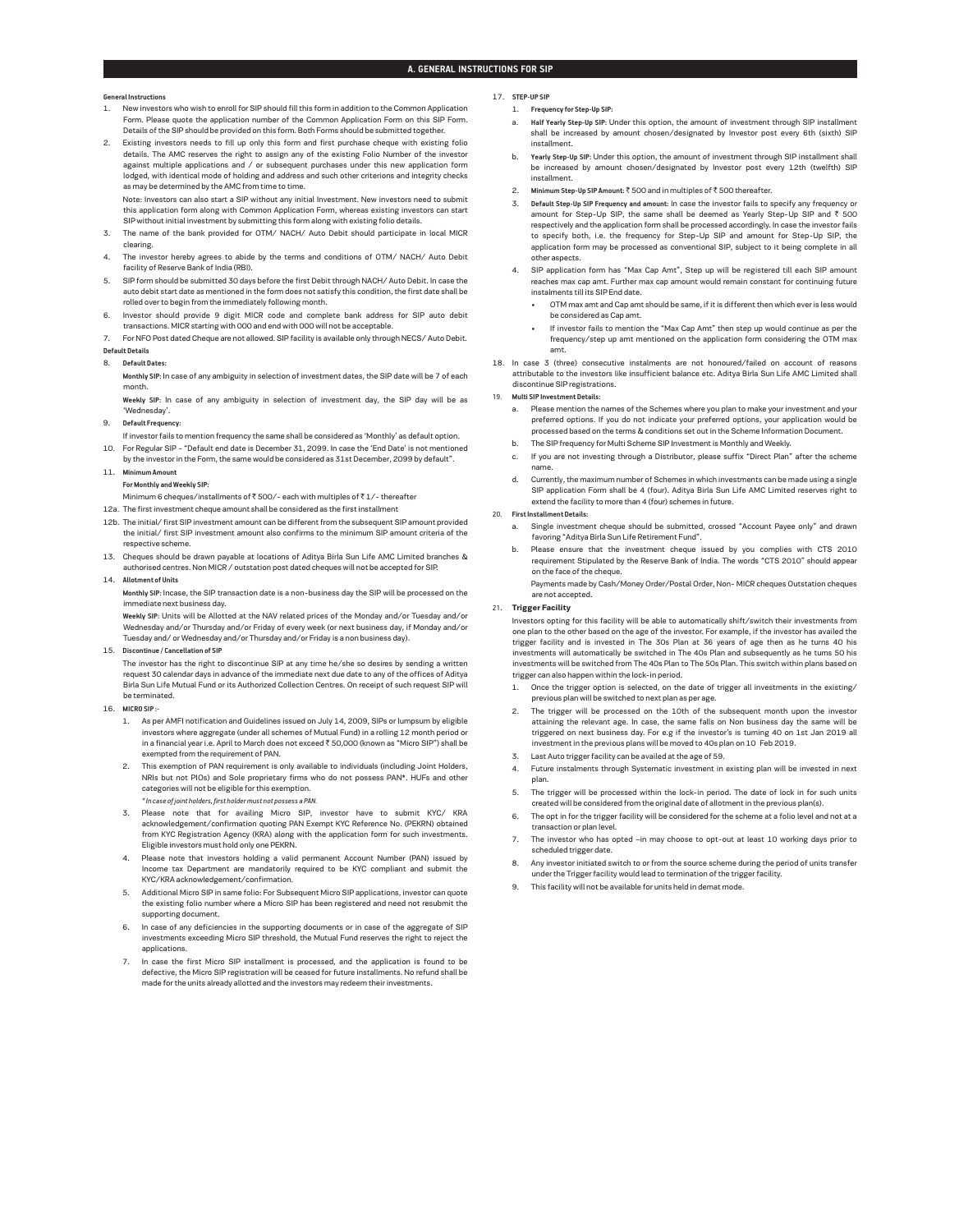## **General Instructions**

- 1. New investors who wish to enroll for SIP should fill this form in addition to the Common Application Form. Please quote the application number of the Common Application Form on this SIP Form. Details of the SIP should be provided on this form. Both Forms should be submitted together.
- Existing investors needs to fill up only this form and first purchase cheque with existing folio details. The AMC reserves the right to assign any of the existing Folio Number of the investor against multiple applications and / or subsequent purchases under this new application form lodged, with identical mode of holding and address and such other criterions and integrity checks as may be determined by the AMC from time to time.
- Note: Investors can also start a SIP without any initial Investment. New investors need to submit this application form along with Common Application Form, whereas existing investors can start SIP without initial investment by submitting this form along with existing folio details.
- 3. The name of the bank provided for OTM/ NACH/ Auto Debit should participate in local MICR clearing.
- 4. The investor hereby agrees to abide by the terms and conditions of OTM/ NACH/ Auto Debit facility of Reserve Bank of India (RBI).
- 5. SIP form should be submitted 30 days before the first Debit through NACH/ Auto Debit. In case the auto debit start date as mentioned in the form does not satisfy this condition, the first date shall be rolled over to begin from the immediately following month.
- 6. Investor should provide 9 digit MICR code and complete bank address for SIP auto debit transactions. MICR starting with 000 and end with 000 will not be acceptable.
- 7. For NFO Post dated Cheque are not allowed. SIP facility is available only through NECS/ Auto Debit. **Default Details**

#### 8. **Default Dates:**

**Monthly SIP:** In case of any ambiguity in selection of investment dates, the SIP date will be 7 of each month.

**Weekly SIP:** In case of any ambiguity in selection of investment day, the SIP day will be as 'Wednesday'.

- 9. **Default Frequency:**
- If investor fails to mention frequency the same shall be considered as 'Monthly' as default option. 10. For Regular SIP - "Default end date is December 31, 2099. In case the 'End Date' is not mentioned
- by the investor in the Form, the same would be considered as 31st December, 2099 by default". 11. **Minimum Amount**

# **For Monthly and Weekly SIP:**

Minimum 6 cheques/installments of  $\bar{t}$  500/- each with multiples of  $\bar{t}$  1/- thereafter

- 12a. The first investment cheque amount shall be considered as the first installment
- 12b. The initial/ first SIP investment amount can be different from the subsequent SIP amount provided the initial/ first SIP investment amount also confirms to the minimum SIP amount criteria of the respective scheme.
- 13. Cheques should be drawn payable at locations of Aditya Birla Sun Life AMC Limited branches & authorised centres. Non MICR / outstation post dated cheques will not be accepted for SIP.

#### 14. **Allotment of Units**

**Monthly SIP:** Incase, the SIP transaction date is a non-business day the SIP will be processed on the immediate next business day.

**Weekly SIP:** Units will be Allotted at the NAV related prices of the Monday and/or Tuesday and/or Wednesday and/or Thursday and/or Friday of every week (or next business day, if Monday and/or Tuesday and/ or Wednesday and/or Thursday and/or Friday is a non business day).

#### 15. **Discontinue / Cancellation of SIP**

The investor has the right to discontinue SIP at any time he/she so desires by sending a written request 30 calendar days in advance of the immediate next due date to any of the offices of Aditya Birla Sun Life Mutual Fund or its Authorized Collection Centres. On receipt of such request SIP will be terminated.

#### 16. **MICRO SIP :-**

- 1. As per AMFI notification and Guidelines issued on July 14, 2009, SIPs or lumpsum by eligible nvestors where aggregate (under all schemes of Mutual Fund) in a rolling 12 month period or in a financial year i.e. April to March does not exceed ₹50,000 (known as "Micro SIP") shall be exempted from the requirement of PAN.
- 2. This exemption of PAN requirement is only available to individuals (including Joint Holders, NRIs but not PIOs) and Sole proprietary firms who do not possess PAN\*. HUFs and other categories will not be eligible for this exemption.

*\* In case of joint holders, first holder must not possess a PAN.*

- 3. Please note that for availing Micro SIP, investor have to submit KYC/ KRA acknowledgement/confirmation quoting PAN Exempt KYC Reference No. (PEKRN) obtained from KYC Registration Agency (KRA) along with the application form for such investments. Eligible investors must hold only one PEKRN.
- Please note that investors holding a valid permanent Account Number (PAN) issued by Income tax Department are mandatorily required to be KYC compliant and submit the KYC/KRA acknowledgement/confirmation.
- 5. Additional Micro SIP in same folio: For Subsequent Micro SIP applications, investor can quote the existing folio number where a Micro SIP has been registered and need not resubmit the supporting document.
- In case of any deficiencies in the supporting documents or in case of the aggregate of SIP investments exceeding Micro SIP threshold, the Mutual Fund reserves the right to reject the applications.
- 7. In case the first Micro SIP installment is processed, and the application is found to be defective, the Micro SIP registration will be ceased for future installments. No refund shall be made for the units already allotted and the investors may redeem their investments.
- 17. **STEP-UP SIP**
	- 1. **Frequency for Step-Up SIP:**
	- a. **Half Yearly Step-Up SIP:** Under this option, the amount of investment through SIP installment shall be increased by amount chosen/designated by Investor post every 6th (sixth) SIP installment.
	- b. **Yearly Step-Up SIP:** Under this option, the amount of investment through SIP installment shall be increased by amount chosen/designated by Investor post every 12th (twelfth) SIP installment.
	- 2. **Minimum Step-Up SIP Amount:** ₹ 500 and in multiples of ₹ 500 thereafter.
	- 3. **Default Step-Up SIP Frequency and amount:** In case the investor fails to specify any frequency or amount for Step-Up SIP, the same shall be deemed as Yearly Step-Up SIP and  $\bar{z}$  500 respectively and the application form shall be processed accordingly. In case the investor fails to specify both, i.e. the frequency for Step-Up SIP and amount for Step-Up SIP, the application form may be processed as conventional SIP, subject to it being complete in all other aspects.
	- 4. SIP application form has "Max Cap Amt", Step up will be registered till each SIP amount reaches max cap amt. Further max cap amount would remain constant for continuing future instalments till its SIP End date.
		- OTM max amt and Cap amt should be same, if it is different then which ever is less would be considered as Cap amt.
		- If investor fails to mention the "Max Cap Amt" then step up would continue as per the frequency/step up amt mentioned on the application form considering the OTM max amt.
- 18. In case 3 (three) consecutive instalments are not honoured/failed on account of reasons attributable to the investors like insufficient balance etc. Aditya Birla Sun Life AMC Limited shall discontinue SIP registrations.

### 19. **Multi SIP Investment Details:**

- Please mention the names of the Schemes where you plan to make your investment and your preferred options. If you do not indicate your preferred options, your application would be processed based on the terms & conditions set out in the Scheme Information Document.
- The SIP frequency for Multi Scheme SIP Investment is Monthly and Weekly.
- c. If you are not investing through a Distributor, please suffix "Direct Plan" after the scheme name.
- Currently, the maximum number of Schemes in which investments can be made using a single SIP application Form shall be 4 (four). Aditya Birla Sun Life AMC Limited reserves right to extend the facility to more than 4 (four) schemes in future.

#### 20. **First Installment Details:**

- Single investment cheque should be submitted, crossed "Account Payee only" and drawn favoring "Aditya Birla Sun Life Retirement Fund".
- Please ensure that the investment cheque issued by you complies with CTS 2010 requirement Stipulated by the Reserve Bank of India. The words "CTS 2010" should appear on the face of the cheque.

Payments made by Cash/Money Order/Postal Order, Non- MICR cheques Outstation cheques are not accepted.

### 21. **Trigger Facility**

Investors opting for this facility will be able to automatically shift/switch their investments from one plan to the other based on the age of the investor. For example, if the investor has availed the trigger facility and is invested in The 30s Plan at 36 years of age then as he turns 40 his investments will automatically be switched in The 40s Plan and subsequently as he turns 50 his investments will be switched from The 40s Plan to The 50s Plan. This switch within plans based on trigger can also happen within the lock-in period.

- 1. Once the trigger option is selected, on the date of trigger all investments in the existing/ previous plan will be switched to next plan as per age.
- The trigger will be processed on the 10th of the subsequent month upon the investor attaining the relevant age. In case, the same falls on Non business day the same will be triggered on next business day. For e.g if the investor's is turning 40 on 1st Jan 2019 all investment in the previous plans will be moved to 40s plan on 10 Feb 2019.
- 3. Last Auto trigger facility can be availed at the age of 59.
- 4. Future instalments through Systematic investment in existing plan will be invested in next plan.
- The trigger will be processed within the lock-in period. The date of lock in for such units created will be considered from the original date of allotment in the previous plan(s).
- 6. The opt in for the trigger facility will be considered for the scheme at a folio level and not at a transaction or plan level.
- 7. The investor who has opted –in may choose to opt-out at least 10 working days prior to scheduled trigger date.
- 8. Any investor initiated switch to or from the source scheme during the period of units transfer under the Trigger facility would lead to termination of the trigger facility.
- This facility will not be available for units held in demat mode